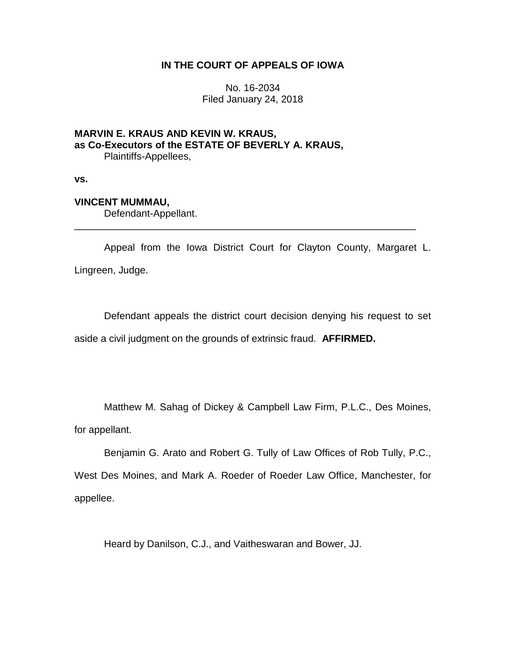# **IN THE COURT OF APPEALS OF IOWA**

No. 16-2034 Filed January 24, 2018

### **MARVIN E. KRAUS AND KEVIN W. KRAUS, as Co-Executors of the ESTATE OF BEVERLY A. KRAUS,** Plaintiffs-Appellees,

**vs.**

# **VINCENT MUMMAU,**

Defendant-Appellant.

Appeal from the Iowa District Court for Clayton County, Margaret L. Lingreen, Judge.

\_\_\_\_\_\_\_\_\_\_\_\_\_\_\_\_\_\_\_\_\_\_\_\_\_\_\_\_\_\_\_\_\_\_\_\_\_\_\_\_\_\_\_\_\_\_\_\_\_\_\_\_\_\_\_\_\_\_\_\_\_\_

Defendant appeals the district court decision denying his request to set aside a civil judgment on the grounds of extrinsic fraud. **AFFIRMED.**

Matthew M. Sahag of Dickey & Campbell Law Firm, P.L.C., Des Moines, for appellant.

Benjamin G. Arato and Robert G. Tully of Law Offices of Rob Tully, P.C.,

West Des Moines, and Mark A. Roeder of Roeder Law Office, Manchester, for appellee.

Heard by Danilson, C.J., and Vaitheswaran and Bower, JJ.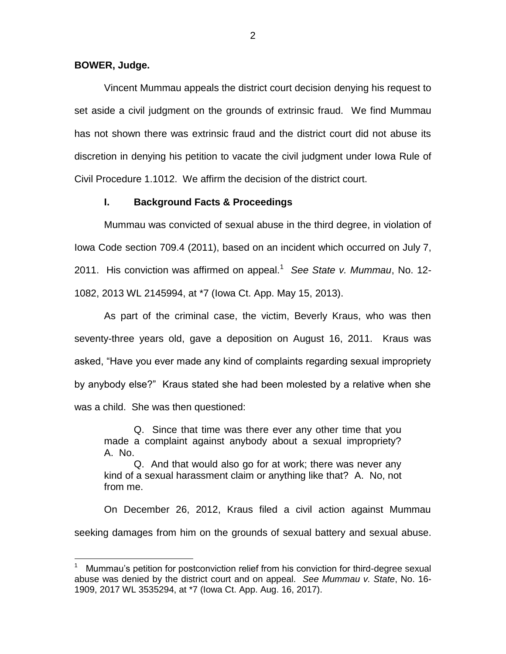**BOWER, Judge.**

 $\overline{a}$ 

Vincent Mummau appeals the district court decision denying his request to set aside a civil judgment on the grounds of extrinsic fraud. We find Mummau has not shown there was extrinsic fraud and the district court did not abuse its discretion in denying his petition to vacate the civil judgment under Iowa Rule of Civil Procedure 1.1012. We affirm the decision of the district court.

#### **I. Background Facts & Proceedings**

Mummau was convicted of sexual abuse in the third degree, in violation of Iowa Code section 709.4 (2011), based on an incident which occurred on July 7, 2011. His conviction was affirmed on appeal.<sup>1</sup> See State v. Mummau, No. 12-1082, 2013 WL 2145994, at \*7 (Iowa Ct. App. May 15, 2013).

As part of the criminal case, the victim, Beverly Kraus, who was then seventy-three years old, gave a deposition on August 16, 2011. Kraus was asked, "Have you ever made any kind of complaints regarding sexual impropriety by anybody else?" Kraus stated she had been molested by a relative when she was a child. She was then questioned:

Q. Since that time was there ever any other time that you made a complaint against anybody about a sexual impropriety? A. No.

Q. And that would also go for at work; there was never any kind of a sexual harassment claim or anything like that? A. No, not from me.

On December 26, 2012, Kraus filed a civil action against Mummau seeking damages from him on the grounds of sexual battery and sexual abuse.

<sup>1</sup> Mummau's petition for postconviction relief from his conviction for third-degree sexual abuse was denied by the district court and on appeal. *See Mummau v. State*, No. 16- 1909, 2017 WL 3535294, at \*7 (Iowa Ct. App. Aug. 16, 2017).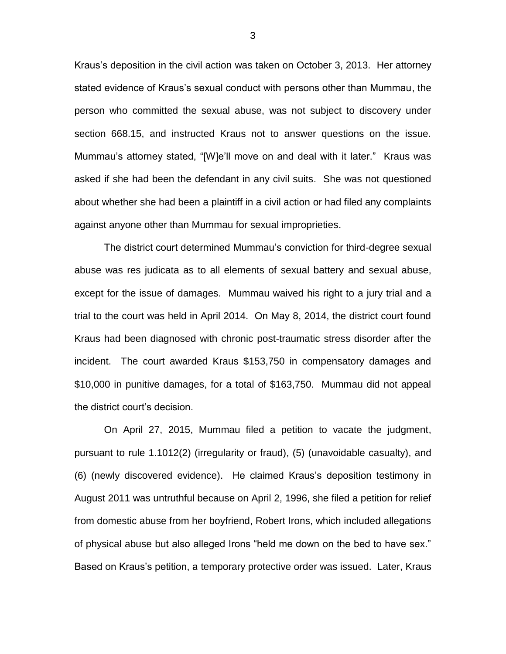Kraus's deposition in the civil action was taken on October 3, 2013. Her attorney stated evidence of Kraus's sexual conduct with persons other than Mummau, the person who committed the sexual abuse, was not subject to discovery under section 668.15, and instructed Kraus not to answer questions on the issue. Mummau's attorney stated, "[W]e'll move on and deal with it later." Kraus was asked if she had been the defendant in any civil suits. She was not questioned about whether she had been a plaintiff in a civil action or had filed any complaints against anyone other than Mummau for sexual improprieties.

The district court determined Mummau's conviction for third-degree sexual abuse was res judicata as to all elements of sexual battery and sexual abuse, except for the issue of damages. Mummau waived his right to a jury trial and a trial to the court was held in April 2014. On May 8, 2014, the district court found Kraus had been diagnosed with chronic post-traumatic stress disorder after the incident. The court awarded Kraus \$153,750 in compensatory damages and \$10,000 in punitive damages, for a total of \$163,750. Mummau did not appeal the district court's decision.

On April 27, 2015, Mummau filed a petition to vacate the judgment, pursuant to rule 1.1012(2) (irregularity or fraud), (5) (unavoidable casualty), and (6) (newly discovered evidence). He claimed Kraus's deposition testimony in August 2011 was untruthful because on April 2, 1996, she filed a petition for relief from domestic abuse from her boyfriend, Robert Irons, which included allegations of physical abuse but also alleged Irons "held me down on the bed to have sex." Based on Kraus's petition, a temporary protective order was issued. Later, Kraus

3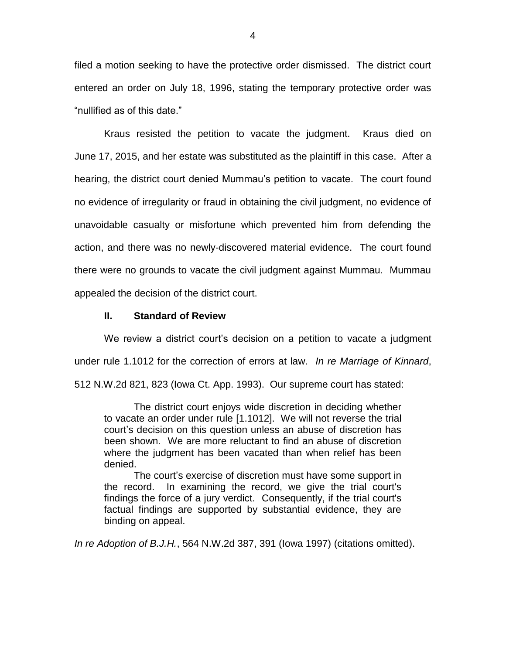filed a motion seeking to have the protective order dismissed. The district court entered an order on July 18, 1996, stating the temporary protective order was "nullified as of this date."

Kraus resisted the petition to vacate the judgment. Kraus died on June 17, 2015, and her estate was substituted as the plaintiff in this case. After a hearing, the district court denied Mummau's petition to vacate. The court found no evidence of irregularity or fraud in obtaining the civil judgment, no evidence of unavoidable casualty or misfortune which prevented him from defending the action, and there was no newly-discovered material evidence. The court found there were no grounds to vacate the civil judgment against Mummau. Mummau appealed the decision of the district court.

### **II. Standard of Review**

We review a district court's decision on a petition to vacate a judgment under rule 1.1012 for the correction of errors at law. *In re Marriage of Kinnard*, 512 N.W.2d 821, 823 (Iowa Ct. App. 1993). Our supreme court has stated:

The district court enjoys wide discretion in deciding whether to vacate an order under rule [1.1012]. We will not reverse the trial court's decision on this question unless an abuse of discretion has been shown. We are more reluctant to find an abuse of discretion where the judgment has been vacated than when relief has been denied.

The court's exercise of discretion must have some support in the record. In examining the record, we give the trial court's findings the force of a jury verdict. Consequently, if the trial court's factual findings are supported by substantial evidence, they are binding on appeal.

*In re Adoption of B.J.H.*, 564 N.W.2d 387, 391 (Iowa 1997) (citations omitted).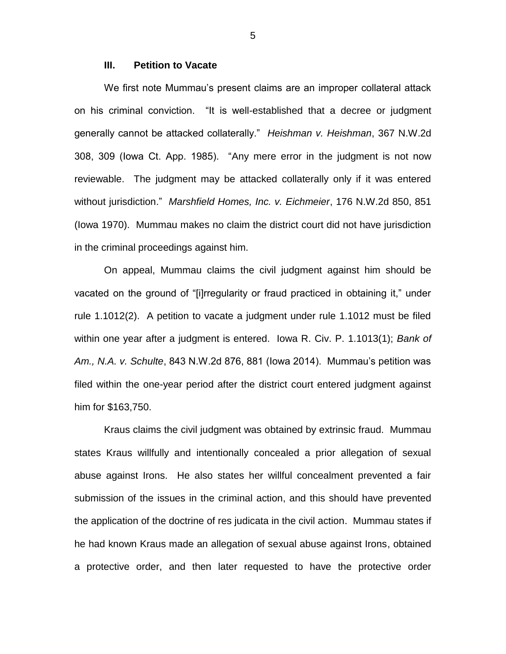#### **III. Petition to Vacate**

We first note Mummau's present claims are an improper collateral attack on his criminal conviction. "It is well-established that a decree or judgment generally cannot be attacked collaterally." *Heishman v. Heishman*, 367 N.W.2d 308, 309 (Iowa Ct. App. 1985). "Any mere error in the judgment is not now reviewable. The judgment may be attacked collaterally only if it was entered without jurisdiction." *Marshfield Homes, Inc. v. Eichmeier*, 176 N.W.2d 850, 851 (Iowa 1970). Mummau makes no claim the district court did not have jurisdiction in the criminal proceedings against him.

On appeal, Mummau claims the civil judgment against him should be vacated on the ground of "[i]rregularity or fraud practiced in obtaining it," under rule 1.1012(2). A petition to vacate a judgment under rule 1.1012 must be filed within one year after a judgment is entered. Iowa R. Civ. P. 1.1013(1); *Bank of Am., N.A. v. Schulte*, 843 N.W.2d 876, 881 (Iowa 2014). Mummau's petition was filed within the one-year period after the district court entered judgment against him for \$163,750.

Kraus claims the civil judgment was obtained by extrinsic fraud. Mummau states Kraus willfully and intentionally concealed a prior allegation of sexual abuse against Irons. He also states her willful concealment prevented a fair submission of the issues in the criminal action, and this should have prevented the application of the doctrine of res judicata in the civil action. Mummau states if he had known Kraus made an allegation of sexual abuse against Irons, obtained a protective order, and then later requested to have the protective order

5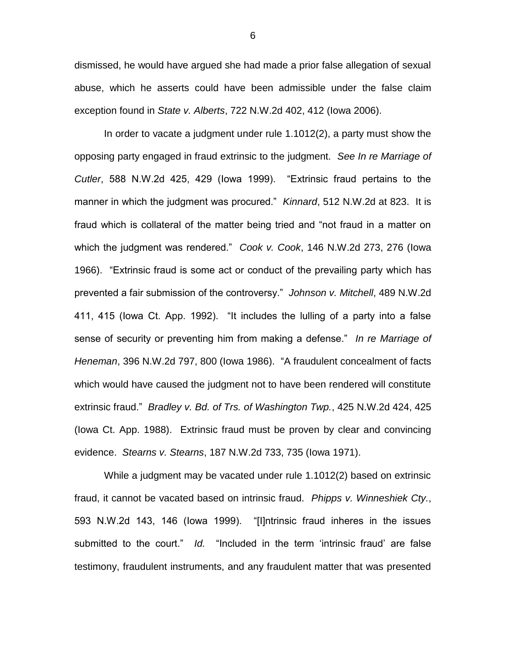dismissed, he would have argued she had made a prior false allegation of sexual abuse, which he asserts could have been admissible under the false claim exception found in *State v. Alberts*, 722 N.W.2d 402, 412 (Iowa 2006).

In order to vacate a judgment under rule 1.1012(2), a party must show the opposing party engaged in fraud extrinsic to the judgment. *See In re Marriage of Cutler*, 588 N.W.2d 425, 429 (Iowa 1999). "Extrinsic fraud pertains to the manner in which the judgment was procured." *Kinnard*, 512 N.W.2d at 823. It is fraud which is collateral of the matter being tried and "not fraud in a matter on which the judgment was rendered." *Cook v. Cook*, 146 N.W.2d 273, 276 (Iowa 1966). "Extrinsic fraud is some act or conduct of the prevailing party which has prevented a fair submission of the controversy." *Johnson v. Mitchell*, 489 N.W.2d 411, 415 (Iowa Ct. App. 1992). "It includes the lulling of a party into a false sense of security or preventing him from making a defense." *In re Marriage of Heneman*, 396 N.W.2d 797, 800 (Iowa 1986). "A fraudulent concealment of facts which would have caused the judgment not to have been rendered will constitute extrinsic fraud." *Bradley v. Bd. of Trs. of Washington Twp.*, 425 N.W.2d 424, 425 (Iowa Ct. App. 1988). Extrinsic fraud must be proven by clear and convincing evidence. *Stearns v. Stearns*, 187 N.W.2d 733, 735 (Iowa 1971).

While a judgment may be vacated under rule 1.1012(2) based on extrinsic fraud, it cannot be vacated based on intrinsic fraud. *Phipps v. Winneshiek Cty.*, 593 N.W.2d 143, 146 (Iowa 1999). "[I]ntrinsic fraud inheres in the issues submitted to the court." *Id.* "Included in the term 'intrinsic fraud' are false testimony, fraudulent instruments, and any fraudulent matter that was presented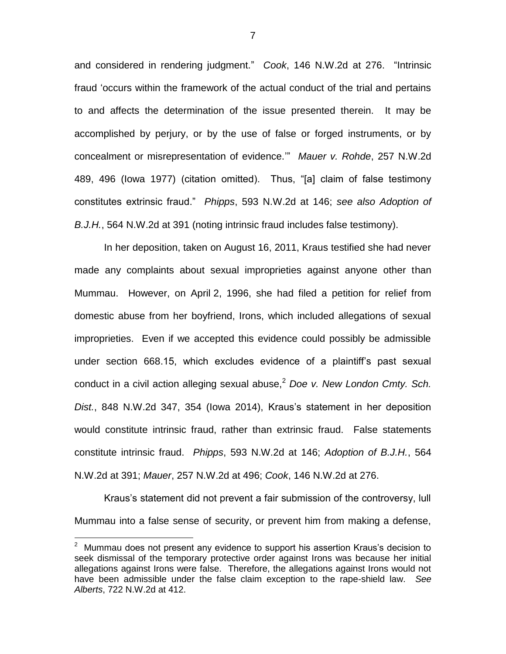and considered in rendering judgment." *Cook*, 146 N.W.2d at 276. "Intrinsic fraud 'occurs within the framework of the actual conduct of the trial and pertains to and affects the determination of the issue presented therein. It may be accomplished by perjury, or by the use of false or forged instruments, or by concealment or misrepresentation of evidence.'" *Mauer v. Rohde*, 257 N.W.2d 489, 496 (Iowa 1977) (citation omitted). Thus, "[a] claim of false testimony constitutes extrinsic fraud." *Phipps*, 593 N.W.2d at 146; *see also Adoption of B.J.H.*, 564 N.W.2d at 391 (noting intrinsic fraud includes false testimony).

In her deposition, taken on August 16, 2011, Kraus testified she had never made any complaints about sexual improprieties against anyone other than Mummau. However, on April 2, 1996, she had filed a petition for relief from domestic abuse from her boyfriend, Irons, which included allegations of sexual improprieties. Even if we accepted this evidence could possibly be admissible under section 668.15, which excludes evidence of a plaintiff's past sexual conduct in a civil action alleging sexual abuse,<sup>2</sup> Doe v. New London Cmty. Sch. *Dist.*, 848 N.W.2d 347, 354 (Iowa 2014), Kraus's statement in her deposition would constitute intrinsic fraud, rather than extrinsic fraud. False statements constitute intrinsic fraud. *Phipps*, 593 N.W.2d at 146; *Adoption of B.J.H.*, 564 N.W.2d at 391; *Mauer*, 257 N.W.2d at 496; *Cook*, 146 N.W.2d at 276.

Kraus's statement did not prevent a fair submission of the controversy, lull Mummau into a false sense of security, or prevent him from making a defense,

 $\overline{a}$ 

7

 $2$  Mummau does not present any evidence to support his assertion Kraus's decision to seek dismissal of the temporary protective order against Irons was because her initial allegations against Irons were false. Therefore, the allegations against Irons would not have been admissible under the false claim exception to the rape-shield law. *See Alberts*, 722 N.W.2d at 412.